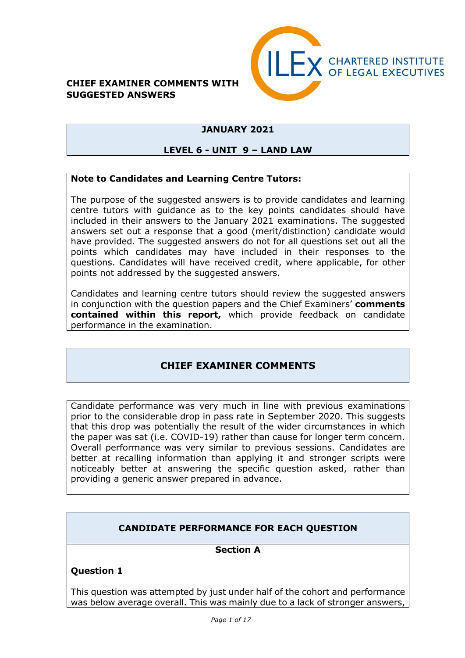#### **CHIEF EXAMINER COMMENTS WITH SUGGESTED ANSWERS**



### **JANUARY 2021**

#### **LEVEL 6 - UNIT 9 – LAND LAW**

#### **Note to Candidates and Learning Centre Tutors:**

The purpose of the suggested answers is to provide candidates and learning centre tutors with guidance as to the key points candidates should have included in their answers to the January 2021 examinations. The suggested answers set out a response that a good (merit/distinction) candidate would have provided. The suggested answers do not for all questions set out all the points which candidates may have included in their responses to the questions. Candidates will have received credit, where applicable, for other points not addressed by the suggested answers.

Candidates and learning centre tutors should review the suggested answers in conjunction with the question papers and the Chief Examiners' **comments contained within this report,** which provide feedback on candidate performance in the examination.

### **CHIEF EXAMINER COMMENTS**

Candidate performance was very much in line with previous examinations prior to the considerable drop in pass rate in September 2020. This suggests that this drop was potentially the result of the wider circumstances in which the paper was sat (i.e. COVID-19) rather than cause for longer term concern. Overall performance was very similar to previous sessions. Candidates are better at recalling information than applying it and stronger scripts were noticeably better at answering the specific question asked, rather than providing a generic answer prepared in advance.

### **CANDIDATE PERFORMANCE FOR EACH QUESTION**

#### **Section A**

#### **Question 1**

This question was attempted by just under half of the cohort and performance was below average overall. This was mainly due to a lack of stronger answers,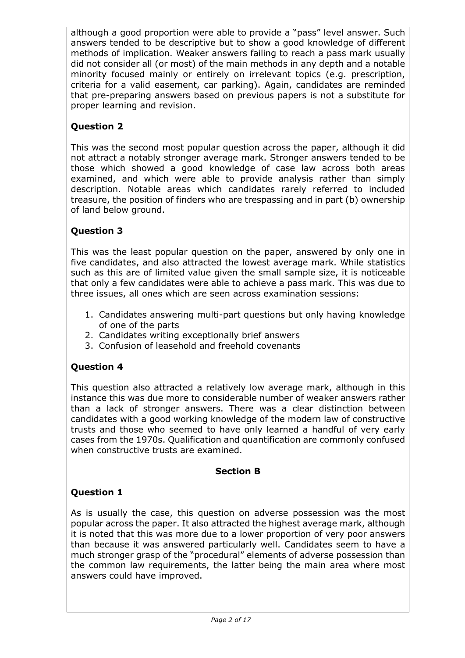although a good proportion were able to provide a "pass" level answer. Such answers tended to be descriptive but to show a good knowledge of different methods of implication. Weaker answers failing to reach a pass mark usually did not consider all (or most) of the main methods in any depth and a notable minority focused mainly or entirely on irrelevant topics (e.g. prescription, criteria for a valid easement, car parking). Again, candidates are reminded that pre-preparing answers based on previous papers is not a substitute for proper learning and revision.

## **Question 2**

This was the second most popular question across the paper, although it did not attract a notably stronger average mark. Stronger answers tended to be those which showed a good knowledge of case law across both areas examined, and which were able to provide analysis rather than simply description. Notable areas which candidates rarely referred to included treasure, the position of finders who are trespassing and in part (b) ownership of land below ground.

## **Question 3**

This was the least popular question on the paper, answered by only one in five candidates, and also attracted the lowest average mark. While statistics such as this are of limited value given the small sample size, it is noticeable that only a few candidates were able to achieve a pass mark. This was due to three issues, all ones which are seen across examination sessions:

- 1. Candidates answering multi-part questions but only having knowledge of one of the parts
- 2. Candidates writing exceptionally brief answers
- 3. Confusion of leasehold and freehold covenants

## **Question 4**

This question also attracted a relatively low average mark, although in this instance this was due more to considerable number of weaker answers rather than a lack of stronger answers. There was a clear distinction between candidates with a good working knowledge of the modern law of constructive trusts and those who seemed to have only learned a handful of very early cases from the 1970s. Qualification and quantification are commonly confused when constructive trusts are examined.

### **Section B**

## **Question 1**

As is usually the case, this question on adverse possession was the most popular across the paper. It also attracted the highest average mark, although it is noted that this was more due to a lower proportion of very poor answers than because it was answered particularly well. Candidates seem to have a much stronger grasp of the "procedural" elements of adverse possession than the common law requirements, the latter being the main area where most answers could have improved.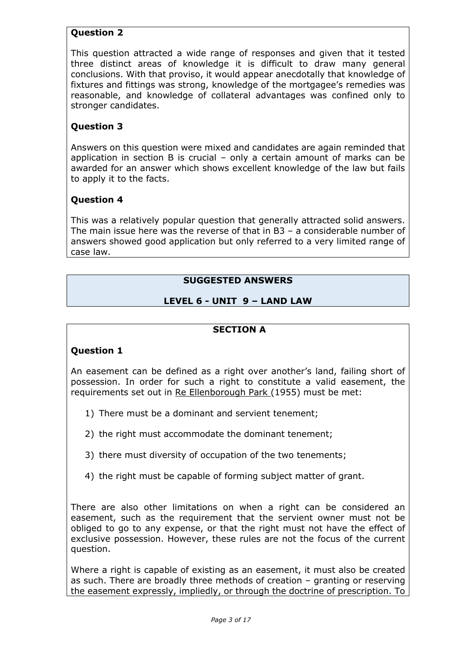### **Question 2**

This question attracted a wide range of responses and given that it tested three distinct areas of knowledge it is difficult to draw many general conclusions. With that proviso, it would appear anecdotally that knowledge of fixtures and fittings was strong, knowledge of the mortgagee's remedies was reasonable, and knowledge of collateral advantages was confined only to stronger candidates.

#### **Question 3**

Answers on this question were mixed and candidates are again reminded that application in section B is crucial – only a certain amount of marks can be awarded for an answer which shows excellent knowledge of the law but fails to apply it to the facts.

#### **Question 4**

This was a relatively popular question that generally attracted solid answers. The main issue here was the reverse of that in B3 – a considerable number of answers showed good application but only referred to a very limited range of case law.

#### **SUGGESTED ANSWERS**

### **LEVEL 6 - UNIT 9 – LAND LAW**

#### **SECTION A**

#### **Question 1**

An easement can be defined as a right over another's land, failing short of possession. In order for such a right to constitute a valid easement, the requirements set out in Re Ellenborough Park (1955) must be met:

- 1) There must be a dominant and servient tenement;
- 2) the right must accommodate the dominant tenement;
- 3) there must diversity of occupation of the two tenements;
- 4) the right must be capable of forming subject matter of grant.

There are also other limitations on when a right can be considered an easement, such as the requirement that the servient owner must not be obliged to go to any expense, or that the right must not have the effect of exclusive possession. However, these rules are not the focus of the current question.

Where a right is capable of existing as an easement, it must also be created as such. There are broadly three methods of creation – granting or reserving the easement expressly, impliedly, or through the doctrine of prescription. To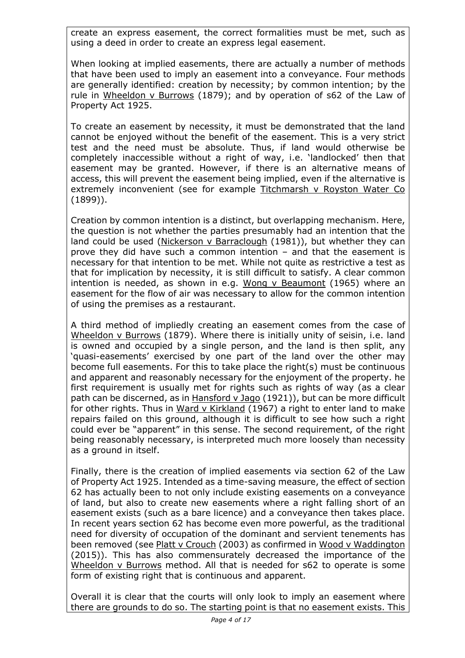create an express easement, the correct formalities must be met, such as using a deed in order to create an express legal easement.

When looking at implied easements, there are actually a number of methods that have been used to imply an easement into a conveyance. Four methods are generally identified: creation by necessity; by common intention; by the rule in Wheeldon v Burrows (1879); and by operation of s62 of the Law of Property Act 1925.

To create an easement by necessity, it must be demonstrated that the land cannot be enjoyed without the benefit of the easement. This is a very strict test and the need must be absolute. Thus, if land would otherwise be completely inaccessible without a right of way, i.e. 'landlocked' then that easement may be granted. However, if there is an alternative means of access, this will prevent the easement being implied, even if the alternative is extremely inconvenient (see for example Titchmarsh v Royston Water Co (1899)).

Creation by common intention is a distinct, but overlapping mechanism. Here, the question is not whether the parties presumably had an intention that the land could be used (Nickerson v Barraclough (1981)), but whether they can prove they did have such a common intention – and that the easement is necessary for that intention to be met. While not quite as restrictive a test as that for implication by necessity, it is still difficult to satisfy. A clear common intention is needed, as shown in e.g. Wong v Beaumont (1965) where an easement for the flow of air was necessary to allow for the common intention of using the premises as a restaurant.

A third method of impliedly creating an easement comes from the case of Wheeldon v Burrows (1879). Where there is initially unity of seisin, i.e. land is owned and occupied by a single person, and the land is then split, any 'quasi-easements' exercised by one part of the land over the other may become full easements. For this to take place the right(s) must be continuous and apparent and reasonably necessary for the enjoyment of the property. he first requirement is usually met for rights such as rights of way (as a clear path can be discerned, as in Hansford v Jago (1921)), but can be more difficult for other rights. Thus in Ward v Kirkland (1967) a right to enter land to make repairs failed on this ground, although it is difficult to see how such a right could ever be "apparent" in this sense. The second requirement, of the right being reasonably necessary, is interpreted much more loosely than necessity as a ground in itself.

Finally, there is the creation of implied easements via section 62 of the Law of Property Act 1925. Intended as a time-saving measure, the effect of section 62 has actually been to not only include existing easements on a conveyance of land, but also to create new easements where a right falling short of an easement exists (such as a bare licence) and a conveyance then takes place. In recent years section 62 has become even more powerful, as the traditional need for diversity of occupation of the dominant and servient tenements has been removed (see Platt v Crouch (2003) as confirmed in Wood v Waddington (2015)). This has also commensurately decreased the importance of the Wheeldon v Burrows method. All that is needed for s62 to operate is some form of existing right that is continuous and apparent.

Overall it is clear that the courts will only look to imply an easement where there are grounds to do so. The starting point is that no easement exists. This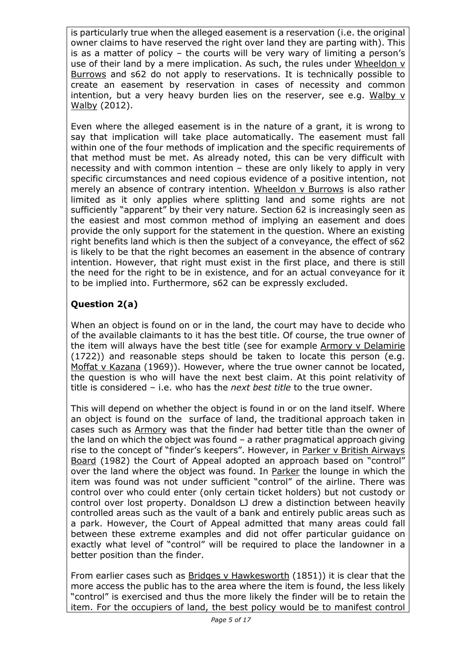is particularly true when the alleged easement is a reservation (i.e. the original owner claims to have reserved the right over land they are parting with). This is as a matter of policy – the courts will be very wary of limiting a person's use of their land by a mere implication. As such, the rules under Wheeldon v Burrows and s62 do not apply to reservations. It is technically possible to create an easement by reservation in cases of necessity and common intention, but a very heavy burden lies on the reserver, see e.g. Walby v Walby (2012).

Even where the alleged easement is in the nature of a grant, it is wrong to say that implication will take place automatically. The easement must fall within one of the four methods of implication and the specific requirements of that method must be met. As already noted, this can be very difficult with necessity and with common intention – these are only likely to apply in very specific circumstances and need copious evidence of a positive intention, not merely an absence of contrary intention. Wheeldon v Burrows is also rather limited as it only applies where splitting land and some rights are not sufficiently "apparent" by their very nature. Section 62 is increasingly seen as the easiest and most common method of implying an easement and does provide the only support for the statement in the question. Where an existing right benefits land which is then the subject of a conveyance, the effect of s62 is likely to be that the right becomes an easement in the absence of contrary intention. However, that right must exist in the first place, and there is still the need for the right to be in existence, and for an actual conveyance for it to be implied into. Furthermore, s62 can be expressly excluded.

## **Question 2(a)**

When an object is found on or in the land, the court may have to decide who of the available claimants to it has the best title. Of course, the true owner of the item will always have the best title (see for example Armory v Delamirie (1722)) and reasonable steps should be taken to locate this person (e.g. Moffat v Kazana (1969)). However, where the true owner cannot be located, the question is who will have the next best claim. At this point relativity of title is considered – i.e. who has the *next best title* to the true owner.

This will depend on whether the object is found in or on the land itself. Where an object is found on the surface of land, the traditional approach taken in cases such as Armory was that the finder had better title than the owner of the land on which the object was found – a rather pragmatical approach giving rise to the concept of "finder's keepers". However, in Parker v British Airways Board (1982) the Court of Appeal adopted an approach based on "control" over the land where the object was found. In Parker the lounge in which the item was found was not under sufficient "control" of the airline. There was control over who could enter (only certain ticket holders) but not custody or control over lost property. Donaldson LJ drew a distinction between heavily controlled areas such as the vault of a bank and entirely public areas such as a park. However, the Court of Appeal admitted that many areas could fall between these extreme examples and did not offer particular guidance on exactly what level of "control" will be required to place the landowner in a better position than the finder.

From earlier cases such as **Bridges v Hawkesworth (1851)**) it is clear that the more access the public has to the area where the item is found, the less likely "control" is exercised and thus the more likely the finder will be to retain the item. For the occupiers of land, the best policy would be to manifest control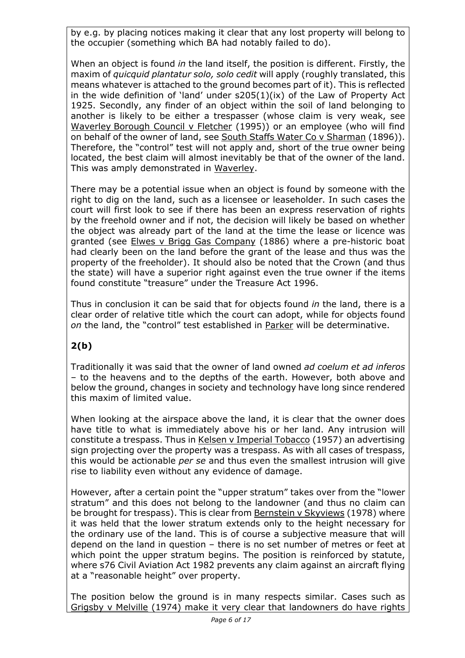by e.g. by placing notices making it clear that any lost property will belong to the occupier (something which BA had notably failed to do).

When an object is found *in* the land itself, the position is different. Firstly, the maxim of *quicquid plantatur solo, solo cedit* will apply (roughly translated, this means whatever is attached to the ground becomes part of it). This is reflected in the wide definition of 'land' under s205(1)(ix) of the Law of Property Act 1925. Secondly, any finder of an object within the soil of land belonging to another is likely to be either a trespasser (whose claim is very weak, see Waverley Borough Council v Fletcher (1995)) or an employee (who will find on behalf of the owner of land, see South Staffs Water Co v Sharman (1896)). Therefore, the "control" test will not apply and, short of the true owner being located, the best claim will almost inevitably be that of the owner of the land. This was amply demonstrated in Waverley.

There may be a potential issue when an object is found by someone with the right to dig on the land, such as a licensee or leaseholder. In such cases the court will first look to see if there has been an express reservation of rights by the freehold owner and if not, the decision will likely be based on whether the object was already part of the land at the time the lease or licence was granted (see Elwes v Brigg Gas Company (1886) where a pre-historic boat had clearly been on the land before the grant of the lease and thus was the property of the freeholder). It should also be noted that the Crown (and thus the state) will have a superior right against even the true owner if the items found constitute "treasure" under the Treasure Act 1996.

Thus in conclusion it can be said that for objects found *in* the land, there is a clear order of relative title which the court can adopt, while for objects found *on* the land, the "control" test established in Parker will be determinative.

## **2(b)**

Traditionally it was said that the owner of land owned *ad coelum et ad inferos* – to the heavens and to the depths of the earth. However, both above and below the ground, changes in society and technology have long since rendered this maxim of limited value.

When looking at the airspace above the land, it is clear that the owner does have title to what is immediately above his or her land. Any intrusion will constitute a trespass. Thus in Kelsen v Imperial Tobacco (1957) an advertising sign projecting over the property was a trespass. As with all cases of trespass, this would be actionable *per se* and thus even the smallest intrusion will give rise to liability even without any evidence of damage.

However, after a certain point the "upper stratum" takes over from the "lower stratum" and this does not belong to the landowner (and thus no claim can be brought for trespass). This is clear from Bernstein v Skyviews (1978) where it was held that the lower stratum extends only to the height necessary for the ordinary use of the land. This is of course a subjective measure that will depend on the land in question – there is no set number of metres or feet at which point the upper stratum begins. The position is reinforced by statute, where s76 Civil Aviation Act 1982 prevents any claim against an aircraft flying at a "reasonable height" over property.

The position below the ground is in many respects similar. Cases such as Grigsby v Melville (1974) make it very clear that landowners do have rights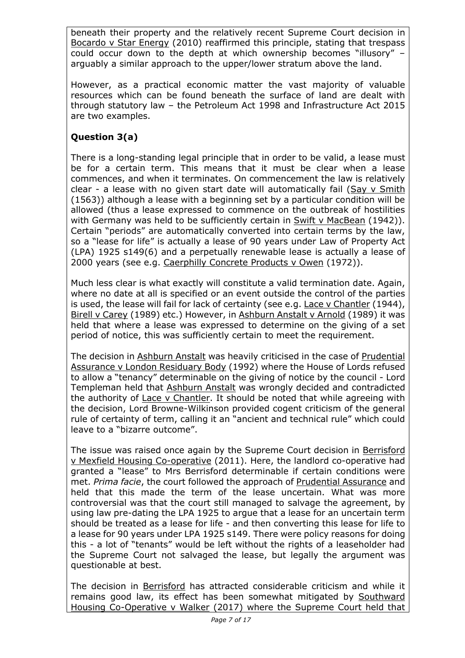beneath their property and the relatively recent Supreme Court decision in Bocardo v Star Energy (2010) reaffirmed this principle, stating that trespass could occur down to the depth at which ownership becomes "illusory" – arguably a similar approach to the upper/lower stratum above the land.

However, as a practical economic matter the vast majority of valuable resources which can be found beneath the surface of land are dealt with through statutory law – the Petroleum Act 1998 and Infrastructure Act 2015 are two examples.

## **Question 3(a)**

There is a long-standing legal principle that in order to be valid, a lease must be for a certain term. This means that it must be clear when a lease commences, and when it terminates. On commencement the law is relatively clear - a lease with no given start date will automatically fail (Say v Smith (1563)) although a lease with a beginning set by a particular condition will be allowed (thus a lease expressed to commence on the outbreak of hostilities with Germany was held to be sufficiently certain in Swift v MacBean (1942)). Certain "periods" are automatically converted into certain terms by the law, so a "lease for life" is actually a lease of 90 years under Law of Property Act (LPA) 1925 s149(6) and a perpetually renewable lease is actually a lease of 2000 years (see e.g. Caerphilly Concrete Products v Owen (1972)).

Much less clear is what exactly will constitute a valid termination date. Again, where no date at all is specified or an event outside the control of the parties is used, the lease will fail for lack of certainty (see e.g. Lace v Chantler (1944), Birell v Carey (1989) etc.) However, in Ashburn Anstalt v Arnold (1989) it was held that where a lease was expressed to determine on the giving of a set period of notice, this was sufficiently certain to meet the requirement.

The decision in Ashburn Anstalt was heavily criticised in the case of Prudential Assurance v London Residuary Body (1992) where the House of Lords refused to allow a "tenancy" determinable on the giving of notice by the council - Lord Templeman held that Ashburn Anstalt was wrongly decided and contradicted the authority of Lace v Chantler. It should be noted that while agreeing with the decision, Lord Browne-Wilkinson provided cogent criticism of the general rule of certainty of term, calling it an "ancient and technical rule" which could leave to a "bizarre outcome".

The issue was raised once again by the Supreme Court decision in Berrisford v Mexfield Housing Co-operative (2011). Here, the landlord co-operative had granted a "lease" to Mrs Berrisford determinable if certain conditions were met. *Prima facie*, the court followed the approach of Prudential Assurance and held that this made the term of the lease uncertain. What was more controversial was that the court still managed to salvage the agreement, by using law pre-dating the LPA 1925 to argue that a lease for an uncertain term should be treated as a lease for life - and then converting this lease for life to a lease for 90 years under LPA 1925 s149. There were policy reasons for doing this - a lot of "tenants" would be left without the rights of a leaseholder had the Supreme Court not salvaged the lease, but legally the argument was questionable at best.

The decision in Berrisford has attracted considerable criticism and while it remains good law, its effect has been somewhat mitigated by Southward Housing Co-Operative v Walker (2017) where the Supreme Court held that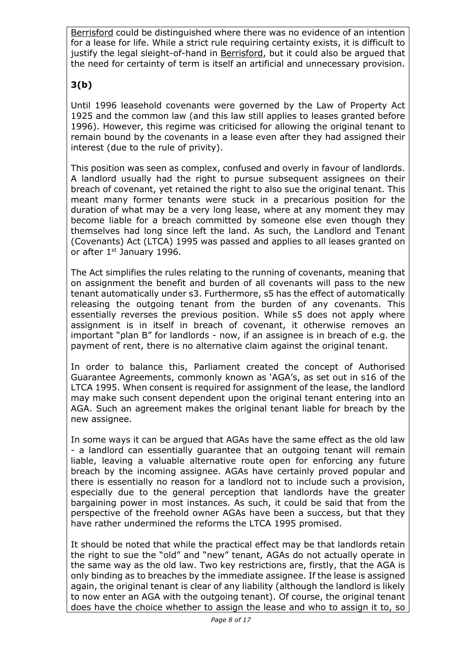Berrisford could be distinguished where there was no evidence of an intention for a lease for life. While a strict rule requiring certainty exists, it is difficult to justify the legal sleight-of-hand in Berrisford, but it could also be argued that the need for certainty of term is itself an artificial and unnecessary provision.

# **3(b)**

Until 1996 leasehold covenants were governed by the Law of Property Act 1925 and the common law (and this law still applies to leases granted before 1996). However, this regime was criticised for allowing the original tenant to remain bound by the covenants in a lease even after they had assigned their interest (due to the rule of privity).

This position was seen as complex, confused and overly in favour of landlords. A landlord usually had the right to pursue subsequent assignees on their breach of covenant, yet retained the right to also sue the original tenant. This meant many former tenants were stuck in a precarious position for the duration of what may be a very long lease, where at any moment they may become liable for a breach committed by someone else even though they themselves had long since left the land. As such, the Landlord and Tenant (Covenants) Act (LTCA) 1995 was passed and applies to all leases granted on or after 1st January 1996.

The Act simplifies the rules relating to the running of covenants, meaning that on assignment the benefit and burden of all covenants will pass to the new tenant automatically under s3. Furthermore, s5 has the effect of automatically releasing the outgoing tenant from the burden of any covenants. This essentially reverses the previous position. While s5 does not apply where assignment is in itself in breach of covenant, it otherwise removes an important "plan B" for landlords - now, if an assignee is in breach of e.g. the payment of rent, there is no alternative claim against the original tenant.

In order to balance this, Parliament created the concept of Authorised Guarantee Agreements, commonly known as 'AGA's, as set out in s16 of the LTCA 1995. When consent is required for assignment of the lease, the landlord may make such consent dependent upon the original tenant entering into an AGA. Such an agreement makes the original tenant liable for breach by the new assignee.

In some ways it can be argued that AGAs have the same effect as the old law - a landlord can essentially guarantee that an outgoing tenant will remain liable, leaving a valuable alternative route open for enforcing any future breach by the incoming assignee. AGAs have certainly proved popular and there is essentially no reason for a landlord not to include such a provision, especially due to the general perception that landlords have the greater bargaining power in most instances. As such, it could be said that from the perspective of the freehold owner AGAs have been a success, but that they have rather undermined the reforms the LTCA 1995 promised.

It should be noted that while the practical effect may be that landlords retain the right to sue the "old" and "new" tenant, AGAs do not actually operate in the same way as the old law. Two key restrictions are, firstly, that the AGA is only binding as to breaches by the immediate assignee. If the lease is assigned again, the original tenant is clear of any liability (although the landlord is likely to now enter an AGA with the outgoing tenant). Of course, the original tenant does have the choice whether to assign the lease and who to assign it to, so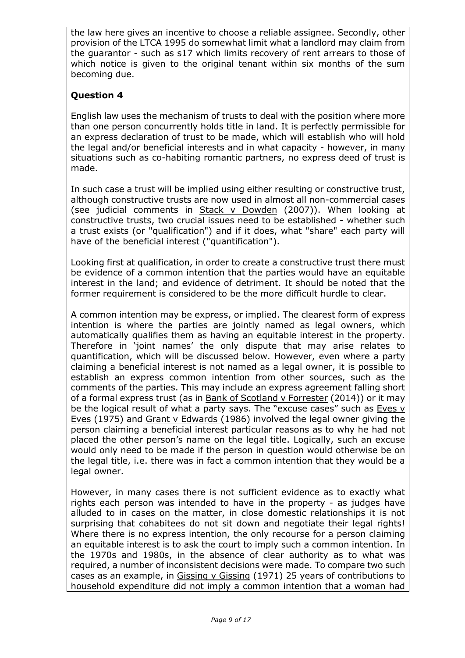the law here gives an incentive to choose a reliable assignee. Secondly, other provision of the LTCA 1995 do somewhat limit what a landlord may claim from the guarantor - such as s17 which limits recovery of rent arrears to those of which notice is given to the original tenant within six months of the sum becoming due.

### **Question 4**

English law uses the mechanism of trusts to deal with the position where more than one person concurrently holds title in land. It is perfectly permissible for an express declaration of trust to be made, which will establish who will hold the legal and/or beneficial interests and in what capacity - however, in many situations such as co-habiting romantic partners, no express deed of trust is made.

In such case a trust will be implied using either resulting or constructive trust, although constructive trusts are now used in almost all non-commercial cases (see judicial comments in Stack v Dowden (2007)). When looking at constructive trusts, two crucial issues need to be established - whether such a trust exists (or "qualification") and if it does, what "share" each party will have of the beneficial interest ("quantification").

Looking first at qualification, in order to create a constructive trust there must be evidence of a common intention that the parties would have an equitable interest in the land; and evidence of detriment. It should be noted that the former requirement is considered to be the more difficult hurdle to clear.

A common intention may be express, or implied. The clearest form of express intention is where the parties are jointly named as legal owners, which automatically qualifies them as having an equitable interest in the property. Therefore in 'joint names' the only dispute that may arise relates to quantification, which will be discussed below. However, even where a party claiming a beneficial interest is not named as a legal owner, it is possible to establish an express common intention from other sources, such as the comments of the parties. This may include an express agreement falling short of a formal express trust (as in Bank of Scotland v Forrester (2014)) or it may be the logical result of what a party says. The "excuse cases" such as Eves v Eves (1975) and Grant v Edwards (1986) involved the legal owner giving the person claiming a beneficial interest particular reasons as to why he had not placed the other person's name on the legal title. Logically, such an excuse would only need to be made if the person in question would otherwise be on the legal title, i.e. there was in fact a common intention that they would be a legal owner.

However, in many cases there is not sufficient evidence as to exactly what rights each person was intended to have in the property - as judges have alluded to in cases on the matter, in close domestic relationships it is not surprising that cohabitees do not sit down and negotiate their legal rights! Where there is no express intention, the only recourse for a person claiming an equitable interest is to ask the court to imply such a common intention. In the 1970s and 1980s, in the absence of clear authority as to what was required, a number of inconsistent decisions were made. To compare two such cases as an example, in Gissing v Gissing (1971) 25 years of contributions to household expenditure did not imply a common intention that a woman had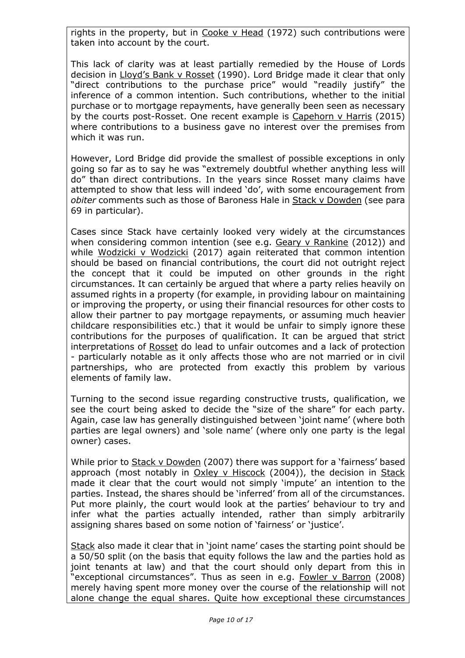rights in the property, but in Cooke v Head (1972) such contributions were taken into account by the court.

This lack of clarity was at least partially remedied by the House of Lords decision in Lloyd's Bank v Rosset (1990). Lord Bridge made it clear that only "direct contributions to the purchase price" would "readily justify" the inference of a common intention. Such contributions, whether to the initial purchase or to mortgage repayments, have generally been seen as necessary by the courts post-Rosset. One recent example is Capehorn v Harris (2015) where contributions to a business gave no interest over the premises from which it was run.

However, Lord Bridge did provide the smallest of possible exceptions in only going so far as to say he was "extremely doubtful whether anything less will do" than direct contributions. In the years since Rosset many claims have attempted to show that less will indeed 'do', with some encouragement from *obiter* comments such as those of Baroness Hale in Stack v Dowden (see para 69 in particular).

Cases since Stack have certainly looked very widely at the circumstances when considering common intention (see e.g. Geary v Rankine (2012)) and while Wodzicki v Wodzicki (2017) again reiterated that common intention should be based on financial contributions, the court did not outright reject the concept that it could be imputed on other grounds in the right circumstances. It can certainly be argued that where a party relies heavily on assumed rights in a property (for example, in providing labour on maintaining or improving the property, or using their financial resources for other costs to allow their partner to pay mortgage repayments, or assuming much heavier childcare responsibilities etc.) that it would be unfair to simply ignore these contributions for the purposes of qualification. It can be argued that strict interpretations of Rosset do lead to unfair outcomes and a lack of protection - particularly notable as it only affects those who are not married or in civil partnerships, who are protected from exactly this problem by various elements of family law.

Turning to the second issue regarding constructive trusts, qualification, we see the court being asked to decide the "size of the share" for each party. Again, case law has generally distinguished between 'joint name' (where both parties are legal owners) and 'sole name' (where only one party is the legal owner) cases.

While prior to Stack v Dowden (2007) there was support for a 'fairness' based approach (most notably in Oxley v Hiscock (2004)), the decision in Stack made it clear that the court would not simply 'impute' an intention to the parties. Instead, the shares should be 'inferred' from all of the circumstances. Put more plainly, the court would look at the parties' behaviour to try and infer what the parties actually intended, rather than simply arbitrarily assigning shares based on some notion of 'fairness' or 'justice'.

Stack also made it clear that in 'joint name' cases the starting point should be a 50/50 split (on the basis that equity follows the law and the parties hold as joint tenants at law) and that the court should only depart from this in "exceptional circumstances". Thus as seen in e.g. Fowler v Barron (2008) merely having spent more money over the course of the relationship will not alone change the equal shares. Quite how exceptional these circumstances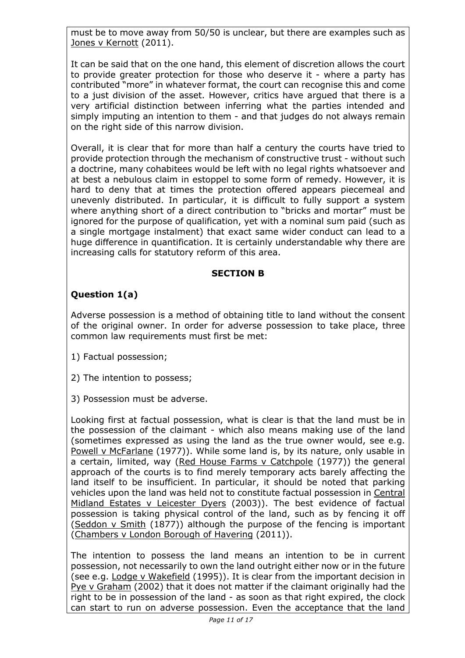must be to move away from 50/50 is unclear, but there are examples such as Jones v Kernott (2011).

It can be said that on the one hand, this element of discretion allows the court to provide greater protection for those who deserve it - where a party has contributed "more" in whatever format, the court can recognise this and come to a just division of the asset. However, critics have argued that there is a very artificial distinction between inferring what the parties intended and simply imputing an intention to them - and that judges do not always remain on the right side of this narrow division.

Overall, it is clear that for more than half a century the courts have tried to provide protection through the mechanism of constructive trust - without such a doctrine, many cohabitees would be left with no legal rights whatsoever and at best a nebulous claim in estoppel to some form of remedy. However, it is hard to deny that at times the protection offered appears piecemeal and unevenly distributed. In particular, it is difficult to fully support a system where anything short of a direct contribution to "bricks and mortar" must be ignored for the purpose of qualification, yet with a nominal sum paid (such as a single mortgage instalment) that exact same wider conduct can lead to a huge difference in quantification. It is certainly understandable why there are increasing calls for statutory reform of this area.

### **SECTION B**

## **Question 1(a)**

Adverse possession is a method of obtaining title to land without the consent of the original owner. In order for adverse possession to take place, three common law requirements must first be met:

- 1) Factual possession;
- 2) The intention to possess;
- 3) Possession must be adverse.

Looking first at factual possession, what is clear is that the land must be in the possession of the claimant - which also means making use of the land (sometimes expressed as using the land as the true owner would, see e.g. Powell v McFarlane (1977)). While some land is, by its nature, only usable in a certain, limited, way (Red House Farms v Catchpole (1977)) the general approach of the courts is to find merely temporary acts barely affecting the land itself to be insufficient. In particular, it should be noted that parking vehicles upon the land was held not to constitute factual possession in Central Midland Estates v Leicester Dyers (2003)). The best evidence of factual possession is taking physical control of the land, such as by fencing it off (Seddon v Smith (1877)) although the purpose of the fencing is important (Chambers v London Borough of Havering (2011)).

The intention to possess the land means an intention to be in current possession, not necessarily to own the land outright either now or in the future (see e.g. Lodge v Wakefield (1995)). It is clear from the important decision in Pye v Graham (2002) that it does not matter if the claimant originally had the right to be in possession of the land - as soon as that right expired, the clock can start to run on adverse possession. Even the acceptance that the land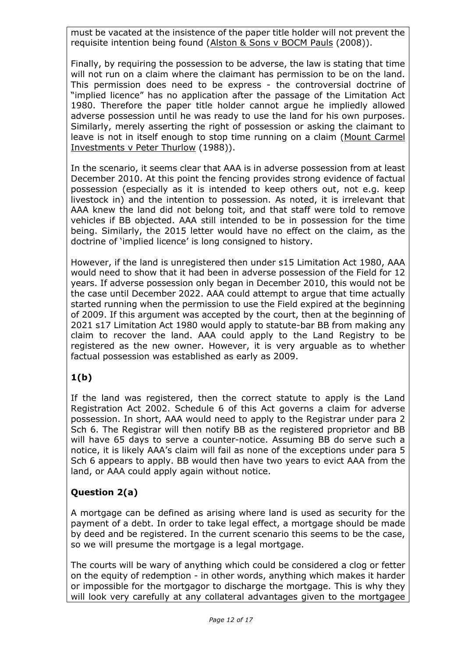must be vacated at the insistence of the paper title holder will not prevent the requisite intention being found (Alston & Sons v BOCM Pauls (2008)).

Finally, by requiring the possession to be adverse, the law is stating that time will not run on a claim where the claimant has permission to be on the land. This permission does need to be express - the controversial doctrine of "implied licence" has no application after the passage of the Limitation Act 1980. Therefore the paper title holder cannot argue he impliedly allowed adverse possession until he was ready to use the land for his own purposes. Similarly, merely asserting the right of possession or asking the claimant to leave is not in itself enough to stop time running on a claim (Mount Carmel Investments v Peter Thurlow (1988)).

In the scenario, it seems clear that AAA is in adverse possession from at least December 2010. At this point the fencing provides strong evidence of factual possession (especially as it is intended to keep others out, not e.g. keep livestock in) and the intention to possession. As noted, it is irrelevant that AAA knew the land did not belong toit, and that staff were told to remove vehicles if BB objected. AAA still intended to be in possession for the time being. Similarly, the 2015 letter would have no effect on the claim, as the doctrine of 'implied licence' is long consigned to history.

However, if the land is unregistered then under s15 Limitation Act 1980, AAA would need to show that it had been in adverse possession of the Field for 12 years. If adverse possession only began in December 2010, this would not be the case until December 2022. AAA could attempt to argue that time actually started running when the permission to use the Field expired at the beginning of 2009. If this argument was accepted by the court, then at the beginning of 2021 s17 Limitation Act 1980 would apply to statute-bar BB from making any claim to recover the land. AAA could apply to the Land Registry to be registered as the new owner. However, it is very arguable as to whether factual possession was established as early as 2009.

## **1(b)**

If the land was registered, then the correct statute to apply is the Land Registration Act 2002. Schedule 6 of this Act governs a claim for adverse possession. In short, AAA would need to apply to the Registrar under para 2 Sch 6. The Registrar will then notify BB as the registered proprietor and BB will have 65 days to serve a counter-notice. Assuming BB do serve such a notice, it is likely AAA's claim will fail as none of the exceptions under para 5 Sch 6 appears to apply. BB would then have two years to evict AAA from the land, or AAA could apply again without notice.

## **Question 2(a)**

A mortgage can be defined as arising where land is used as security for the payment of a debt. In order to take legal effect, a mortgage should be made by deed and be registered. In the current scenario this seems to be the case, so we will presume the mortgage is a legal mortgage.

The courts will be wary of anything which could be considered a clog or fetter on the equity of redemption - in other words, anything which makes it harder or impossible for the mortgagor to discharge the mortgage. This is why they will look very carefully at any collateral advantages given to the mortgagee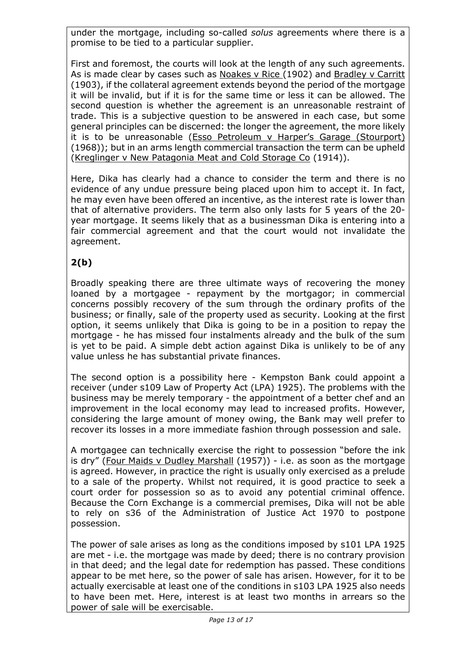under the mortgage, including so-called *solus* agreements where there is a promise to be tied to a particular supplier.

First and foremost, the courts will look at the length of any such agreements. As is made clear by cases such as Noakes v Rice (1902) and Bradley v Carritt (1903), if the collateral agreement extends beyond the period of the mortgage it will be invalid, but if it is for the same time or less it can be allowed. The second question is whether the agreement is an unreasonable restraint of trade. This is a subjective question to be answered in each case, but some general principles can be discerned: the longer the agreement, the more likely it is to be unreasonable (Esso Petroleum v Harper's Garage (Stourport) (1968)); but in an arms length commercial transaction the term can be upheld (Kreglinger v New Patagonia Meat and Cold Storage Co (1914)).

Here, Dika has clearly had a chance to consider the term and there is no evidence of any undue pressure being placed upon him to accept it. In fact, he may even have been offered an incentive, as the interest rate is lower than that of alternative providers. The term also only lasts for 5 years of the 20 year mortgage. It seems likely that as a businessman Dika is entering into a fair commercial agreement and that the court would not invalidate the agreement.

## **2(b)**

Broadly speaking there are three ultimate ways of recovering the money loaned by a mortgagee - repayment by the mortgagor; in commercial concerns possibly recovery of the sum through the ordinary profits of the business; or finally, sale of the property used as security. Looking at the first option, it seems unlikely that Dika is going to be in a position to repay the mortgage - he has missed four instalments already and the bulk of the sum is yet to be paid. A simple debt action against Dika is unlikely to be of any value unless he has substantial private finances.

The second option is a possibility here - Kempston Bank could appoint a receiver (under s109 Law of Property Act (LPA) 1925). The problems with the business may be merely temporary - the appointment of a better chef and an improvement in the local economy may lead to increased profits. However, considering the large amount of money owing, the Bank may well prefer to recover its losses in a more immediate fashion through possession and sale.

A mortgagee can technically exercise the right to possession "before the ink is dry" (Four Maids v Dudley Marshall (1957)) - i.e. as soon as the mortgage is agreed. However, in practice the right is usually only exercised as a prelude to a sale of the property. Whilst not required, it is good practice to seek a court order for possession so as to avoid any potential criminal offence. Because the Corn Exchange is a commercial premises, Dika will not be able to rely on s36 of the Administration of Justice Act 1970 to postpone possession.

The power of sale arises as long as the conditions imposed by s101 LPA 1925 are met - i.e. the mortgage was made by deed; there is no contrary provision in that deed; and the legal date for redemption has passed. These conditions appear to be met here, so the power of sale has arisen. However, for it to be actually exercisable at least one of the conditions in s103 LPA 1925 also needs to have been met. Here, interest is at least two months in arrears so the power of sale will be exercisable.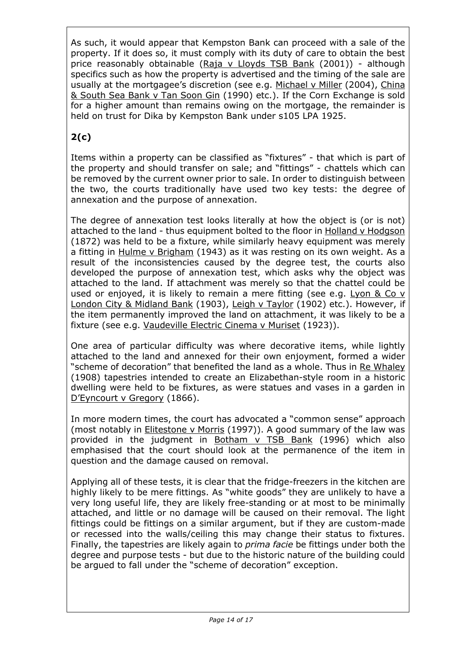As such, it would appear that Kempston Bank can proceed with a sale of the property. If it does so, it must comply with its duty of care to obtain the best price reasonably obtainable (Raja v Lloyds TSB Bank (2001)) - although specifics such as how the property is advertised and the timing of the sale are usually at the mortgagee's discretion (see e.g. Michael v Miller (2004), China & South Sea Bank v Tan Soon Gin (1990) etc.). If the Corn Exchange is sold for a higher amount than remains owing on the mortgage, the remainder is held on trust for Dika by Kempston Bank under s105 LPA 1925.

# **2(c)**

Items within a property can be classified as "fixtures" - that which is part of the property and should transfer on sale; and "fittings" - chattels which can be removed by the current owner prior to sale. In order to distinguish between the two, the courts traditionally have used two key tests: the degree of annexation and the purpose of annexation.

The degree of annexation test looks literally at how the object is (or is not) attached to the land - thus equipment bolted to the floor in Holland v Hodgson (1872) was held to be a fixture, while similarly heavy equipment was merely a fitting in Hulme v Brigham (1943) as it was resting on its own weight. As a result of the inconsistencies caused by the degree test, the courts also developed the purpose of annexation test, which asks why the object was attached to the land. If attachment was merely so that the chattel could be used or enjoyed, it is likely to remain a mere fitting (see e.g. Lyon & Co  $v$ London City & Midland Bank (1903), Leigh v Taylor (1902) etc.). However, if the item permanently improved the land on attachment, it was likely to be a fixture (see e.g. Vaudeville Electric Cinema v Muriset (1923)).

One area of particular difficulty was where decorative items, while lightly attached to the land and annexed for their own enjoyment, formed a wider "scheme of decoration" that benefited the land as a whole. Thus in Re Whaley (1908) tapestries intended to create an Elizabethan-style room in a historic dwelling were held to be fixtures, as were statues and vases in a garden in D'Eyncourt v Gregory (1866).

In more modern times, the court has advocated a "common sense" approach (most notably in Elitestone v Morris (1997)). A good summary of the law was provided in the judgment in Botham v TSB Bank (1996) which also emphasised that the court should look at the permanence of the item in question and the damage caused on removal.

Applying all of these tests, it is clear that the fridge-freezers in the kitchen are highly likely to be mere fittings. As "white goods" they are unlikely to have a very long useful life, they are likely free-standing or at most to be minimally attached, and little or no damage will be caused on their removal. The light fittings could be fittings on a similar argument, but if they are custom-made or recessed into the walls/ceiling this may change their status to fixtures. Finally, the tapestries are likely again to *prima facie* be fittings under both the degree and purpose tests - but due to the historic nature of the building could be argued to fall under the "scheme of decoration" exception.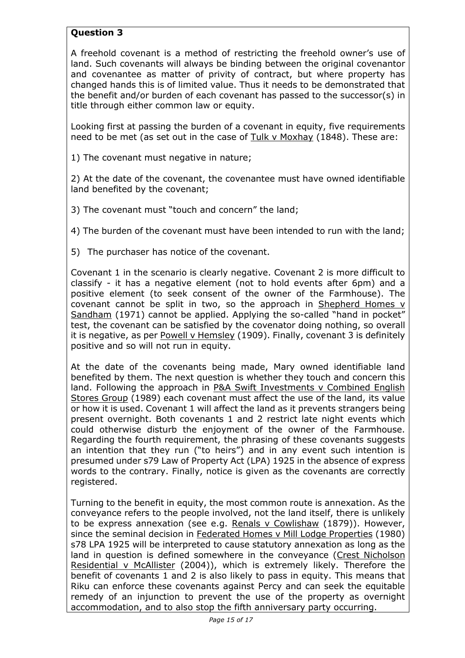### **Question 3**

A freehold covenant is a method of restricting the freehold owner's use of land. Such covenants will always be binding between the original covenantor and covenantee as matter of privity of contract, but where property has changed hands this is of limited value. Thus it needs to be demonstrated that the benefit and/or burden of each covenant has passed to the successor(s) in title through either common law or equity.

Looking first at passing the burden of a covenant in equity, five requirements need to be met (as set out in the case of Tulk v Moxhay (1848). These are:

1) The covenant must negative in nature;

2) At the date of the covenant, the covenantee must have owned identifiable land benefited by the covenant;

3) The covenant must "touch and concern" the land;

4) The burden of the covenant must have been intended to run with the land;

5) The purchaser has notice of the covenant.

Covenant 1 in the scenario is clearly negative. Covenant 2 is more difficult to classify - it has a negative element (not to hold events after 6pm) and a positive element (to seek consent of the owner of the Farmhouse). The covenant cannot be split in two, so the approach in Shepherd Homes v Sandham (1971) cannot be applied. Applying the so-called "hand in pocket" test, the covenant can be satisfied by the covenator doing nothing, so overall it is negative, as per Powell v Hemsley (1909). Finally, covenant 3 is definitely positive and so will not run in equity.

At the date of the covenants being made, Mary owned identifiable land benefited by them. The next question is whether they touch and concern this land. Following the approach in P&A Swift Investments v Combined English Stores Group (1989) each covenant must affect the use of the land, its value or how it is used. Covenant 1 will affect the land as it prevents strangers being present overnight. Both covenants 1 and 2 restrict late night events which could otherwise disturb the enjoyment of the owner of the Farmhouse. Regarding the fourth requirement, the phrasing of these covenants suggests an intention that they run ("to heirs") and in any event such intention is presumed under s79 Law of Property Act (LPA) 1925 in the absence of express words to the contrary. Finally, notice is given as the covenants are correctly registered.

Turning to the benefit in equity, the most common route is annexation. As the conveyance refers to the people involved, not the land itself, there is unlikely to be express annexation (see e.g. Renals v Cowlishaw (1879)). However, since the seminal decision in Federated Homes v Mill Lodge Properties (1980) s78 LPA 1925 will be interpreted to cause statutory annexation as long as the land in question is defined somewhere in the conveyance (Crest Nicholson Residential v McAllister (2004)), which is extremely likely. Therefore the benefit of covenants 1 and 2 is also likely to pass in equity. This means that Riku can enforce these covenants against Percy and can seek the equitable remedy of an injunction to prevent the use of the property as overnight accommodation, and to also stop the fifth anniversary party occurring.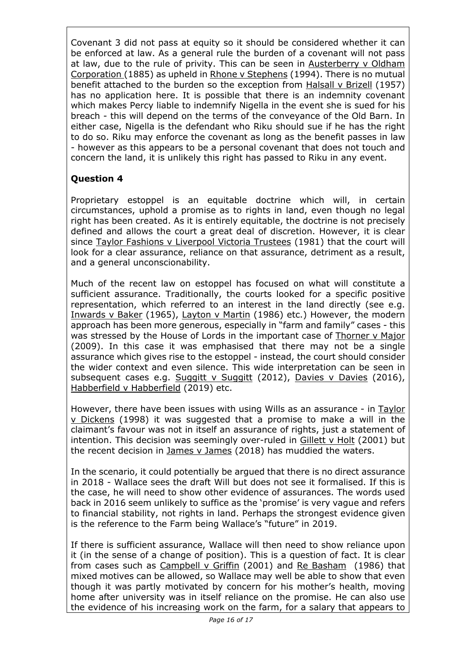Covenant 3 did not pass at equity so it should be considered whether it can be enforced at law. As a general rule the burden of a covenant will not pass at law, due to the rule of privity. This can be seen in Austerberry v Oldham Corporation (1885) as upheld in Rhone v Stephens (1994). There is no mutual benefit attached to the burden so the exception from Halsall v Brizell (1957) has no application here. It is possible that there is an indemnity covenant which makes Percy liable to indemnify Nigella in the event she is sued for his breach - this will depend on the terms of the conveyance of the Old Barn. In either case, Nigella is the defendant who Riku should sue if he has the right to do so. Riku may enforce the covenant as long as the benefit passes in law - however as this appears to be a personal covenant that does not touch and concern the land, it is unlikely this right has passed to Riku in any event.

### **Question 4**

Proprietary estoppel is an equitable doctrine which will, in certain circumstances, uphold a promise as to rights in land, even though no legal right has been created. As it is entirely equitable, the doctrine is not precisely defined and allows the court a great deal of discretion. However, it is clear since Taylor Fashions v Liverpool Victoria Trustees (1981) that the court will look for a clear assurance, reliance on that assurance, detriment as a result, and a general unconscionability.

Much of the recent law on estoppel has focused on what will constitute a sufficient assurance. Traditionally, the courts looked for a specific positive representation, which referred to an interest in the land directly (see e.g. Inwards v Baker (1965), Layton v Martin (1986) etc.) However, the modern approach has been more generous, especially in "farm and family" cases - this was stressed by the House of Lords in the important case of Thorner v Major (2009). In this case it was emphasised that there may not be a single assurance which gives rise to the estoppel - instead, the court should consider the wider context and even silence. This wide interpretation can be seen in subsequent cases e.g. Suggitt v Suggitt (2012), Davies v Davies (2016), Habberfield v Habberfield (2019) etc.

However, there have been issues with using Wills as an assurance - in Taylor v Dickens (1998) it was suggested that a promise to make a will in the claimant's favour was not in itself an assurance of rights, just a statement of intention. This decision was seemingly over-ruled in Gillett v Holt (2001) but the recent decision in James v James (2018) has muddied the waters.

In the scenario, it could potentially be argued that there is no direct assurance in 2018 - Wallace sees the draft Will but does not see it formalised. If this is the case, he will need to show other evidence of assurances. The words used back in 2016 seem unlikely to suffice as the 'promise' is very vague and refers to financial stability, not rights in land. Perhaps the strongest evidence given is the reference to the Farm being Wallace's "future" in 2019.

If there is sufficient assurance, Wallace will then need to show reliance upon it (in the sense of a change of position). This is a question of fact. It is clear from cases such as Campbell v Griffin (2001) and Re Basham (1986) that mixed motives can be allowed, so Wallace may well be able to show that even though it was partly motivated by concern for his mother's health, moving home after university was in itself reliance on the promise. He can also use the evidence of his increasing work on the farm, for a salary that appears to